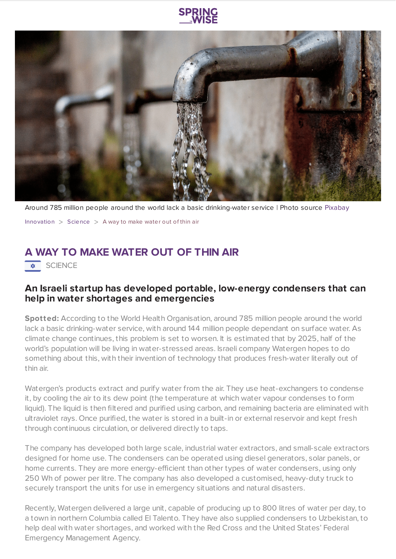

Around 785 million people around the world lack a basic drinking-water service | Photo source [Pixabay](https://pixabay.com/photos/faucet-fountain-water-dispenser-1684902/)

[Innovation](https://www.springwise.com/search?type=innovation)  $>$  [Science](https://www.springwise.com/search?type=innovation§or=science-and-natural-world)  $>$  A way to make water out of thin air

## **A WAY TO MAKE WATER OUT OF THIN AIR**

 $\overline{\bullet}$  SCIENCE

## **An Israeli startup has developed portable, low-energy condensers that can help in water shortages and emergencies**

**Spotted:** According to the World Health Organisation, around 785 million people around the world lack a basic drinking-water service, with around 144 million people dependant on surface water. As climate change continues, this problem is set to worsen. It is estimated that by 2025, half of the world's population will be living in water-stressed areas. Israeli company Watergen hopes to do something about this, with their invention of technology that produces fresh-water literally out of thin air.

Watergen's products extract and purify water from the air. They use heat-exchangers to condense it, by cooling the air to its dew point (the temperature at which water vapour condenses to form liquid). The liquid is then filtered and purified using carbon, and remaining bacteria are eliminated with ultraviolet rays. Once purified, the water is stored in a built-in or external reservoir and kept fresh through continuous circulation, or delivered directly to taps.

The company has developed both large scale, industrial water extractors, and small-scale extractors designed for home use. The condensers can be operated using diesel generators, solar panels, or home currents. They are more energy-efficient than other types of water condensers, using only 250 Wh of power per litre. The company has also developed a customised, heavy-duty truck to securely transport the units for use in emergency situations and natural disasters.

Recently, Watergen delivered a large unit, capable of producing up to 800 litres of water per day, to a town in northern Columbia called El Talento. They have also supplied condensers to Uzbekistan, to help deal with water shortages, and worked with the Red Cross and the United States' Federal Emergency Management Agency.